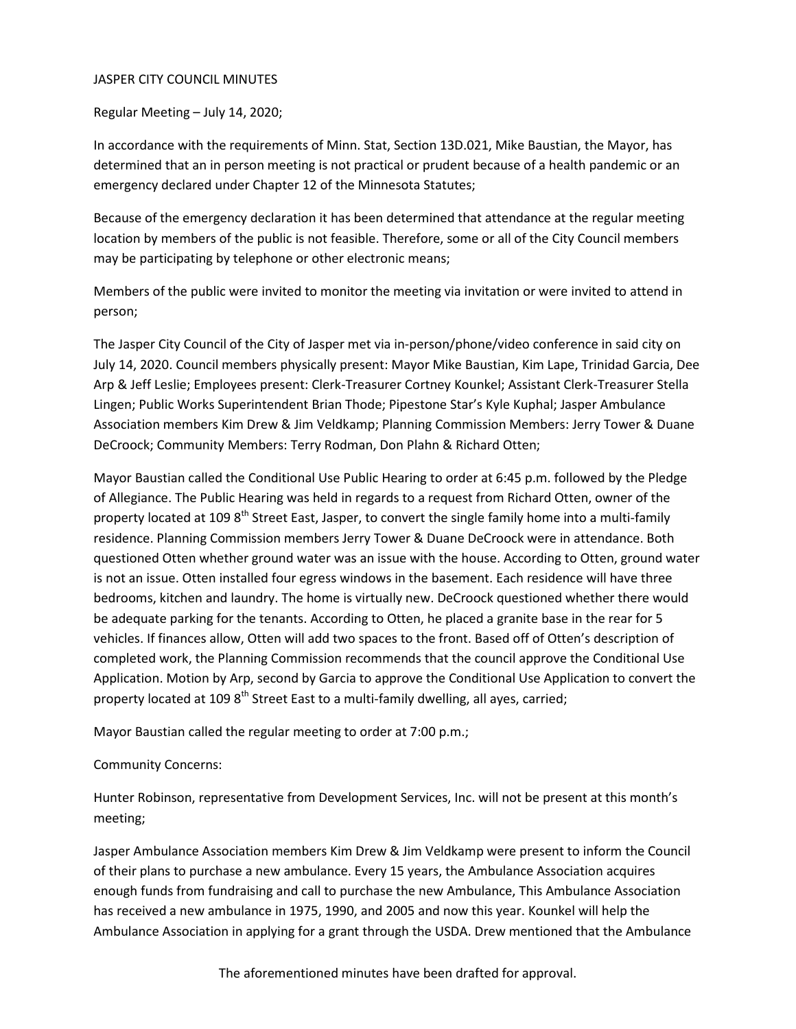### JASPER CITY COUNCIL MINUTES

Regular Meeting – July 14, 2020;

In accordance with the requirements of Minn. Stat, Section 13D.021, Mike Baustian, the Mayor, has determined that an in person meeting is not practical or prudent because of a health pandemic or an emergency declared under Chapter 12 of the Minnesota Statutes;

Because of the emergency declaration it has been determined that attendance at the regular meeting location by members of the public is not feasible. Therefore, some or all of the City Council members may be participating by telephone or other electronic means;

Members of the public were invited to monitor the meeting via invitation or were invited to attend in person;

The Jasper City Council of the City of Jasper met via in-person/phone/video conference in said city on July 14, 2020. Council members physically present: Mayor Mike Baustian, Kim Lape, Trinidad Garcia, Dee Arp & Jeff Leslie; Employees present: Clerk-Treasurer Cortney Kounkel; Assistant Clerk-Treasurer Stella Lingen; Public Works Superintendent Brian Thode; Pipestone Star's Kyle Kuphal; Jasper Ambulance Association members Kim Drew & Jim Veldkamp; Planning Commission Members: Jerry Tower & Duane DeCroock; Community Members: Terry Rodman, Don Plahn & Richard Otten;

Mayor Baustian called the Conditional Use Public Hearing to order at 6:45 p.m. followed by the Pledge of Allegiance. The Public Hearing was held in regards to a request from Richard Otten, owner of the property located at 109 8<sup>th</sup> Street East, Jasper, to convert the single family home into a multi-family residence. Planning Commission members Jerry Tower & Duane DeCroock were in attendance. Both questioned Otten whether ground water was an issue with the house. According to Otten, ground water is not an issue. Otten installed four egress windows in the basement. Each residence will have three bedrooms, kitchen and laundry. The home is virtually new. DeCroock questioned whether there would be adequate parking for the tenants. According to Otten, he placed a granite base in the rear for 5 vehicles. If finances allow, Otten will add two spaces to the front. Based off of Otten's description of completed work, the Planning Commission recommends that the council approve the Conditional Use Application. Motion by Arp, second by Garcia to approve the Conditional Use Application to convert the property located at 109  $8<sup>th</sup>$  Street East to a multi-family dwelling, all ayes, carried;

Mayor Baustian called the regular meeting to order at 7:00 p.m.;

## Community Concerns:

Hunter Robinson, representative from Development Services, Inc. will not be present at this month's meeting;

Jasper Ambulance Association members Kim Drew & Jim Veldkamp were present to inform the Council of their plans to purchase a new ambulance. Every 15 years, the Ambulance Association acquires enough funds from fundraising and call to purchase the new Ambulance, This Ambulance Association has received a new ambulance in 1975, 1990, and 2005 and now this year. Kounkel will help the Ambulance Association in applying for a grant through the USDA. Drew mentioned that the Ambulance

The aforementioned minutes have been drafted for approval.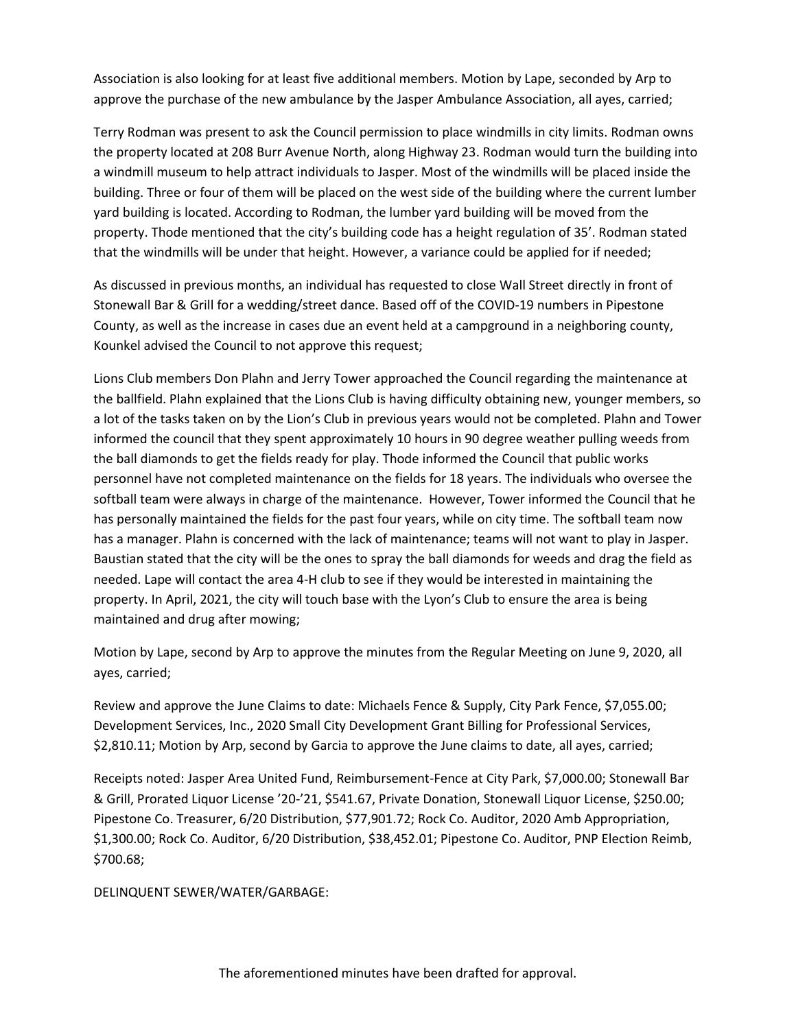Association is also looking for at least five additional members. Motion by Lape, seconded by Arp to approve the purchase of the new ambulance by the Jasper Ambulance Association, all ayes, carried;

Terry Rodman was present to ask the Council permission to place windmills in city limits. Rodman owns the property located at 208 Burr Avenue North, along Highway 23. Rodman would turn the building into a windmill museum to help attract individuals to Jasper. Most of the windmills will be placed inside the building. Three or four of them will be placed on the west side of the building where the current lumber yard building is located. According to Rodman, the lumber yard building will be moved from the property. Thode mentioned that the city's building code has a height regulation of 35'. Rodman stated that the windmills will be under that height. However, a variance could be applied for if needed;

As discussed in previous months, an individual has requested to close Wall Street directly in front of Stonewall Bar & Grill for a wedding/street dance. Based off of the COVID-19 numbers in Pipestone County, as well as the increase in cases due an event held at a campground in a neighboring county, Kounkel advised the Council to not approve this request;

Lions Club members Don Plahn and Jerry Tower approached the Council regarding the maintenance at the ballfield. Plahn explained that the Lions Club is having difficulty obtaining new, younger members, so a lot of the tasks taken on by the Lion's Club in previous years would not be completed. Plahn and Tower informed the council that they spent approximately 10 hours in 90 degree weather pulling weeds from the ball diamonds to get the fields ready for play. Thode informed the Council that public works personnel have not completed maintenance on the fields for 18 years. The individuals who oversee the softball team were always in charge of the maintenance. However, Tower informed the Council that he has personally maintained the fields for the past four years, while on city time. The softball team now has a manager. Plahn is concerned with the lack of maintenance; teams will not want to play in Jasper. Baustian stated that the city will be the ones to spray the ball diamonds for weeds and drag the field as needed. Lape will contact the area 4-H club to see if they would be interested in maintaining the property. In April, 2021, the city will touch base with the Lyon's Club to ensure the area is being maintained and drug after mowing;

Motion by Lape, second by Arp to approve the minutes from the Regular Meeting on June 9, 2020, all ayes, carried;

Review and approve the June Claims to date: Michaels Fence & Supply, City Park Fence, \$7,055.00; Development Services, Inc., 2020 Small City Development Grant Billing for Professional Services, \$2,810.11; Motion by Arp, second by Garcia to approve the June claims to date, all ayes, carried;

Receipts noted: Jasper Area United Fund, Reimbursement-Fence at City Park, \$7,000.00; Stonewall Bar & Grill, Prorated Liquor License '20-'21, \$541.67, Private Donation, Stonewall Liquor License, \$250.00; Pipestone Co. Treasurer, 6/20 Distribution, \$77,901.72; Rock Co. Auditor, 2020 Amb Appropriation, \$1,300.00; Rock Co. Auditor, 6/20 Distribution, \$38,452.01; Pipestone Co. Auditor, PNP Election Reimb, \$700.68;

DELINQUENT SEWER/WATER/GARBAGE: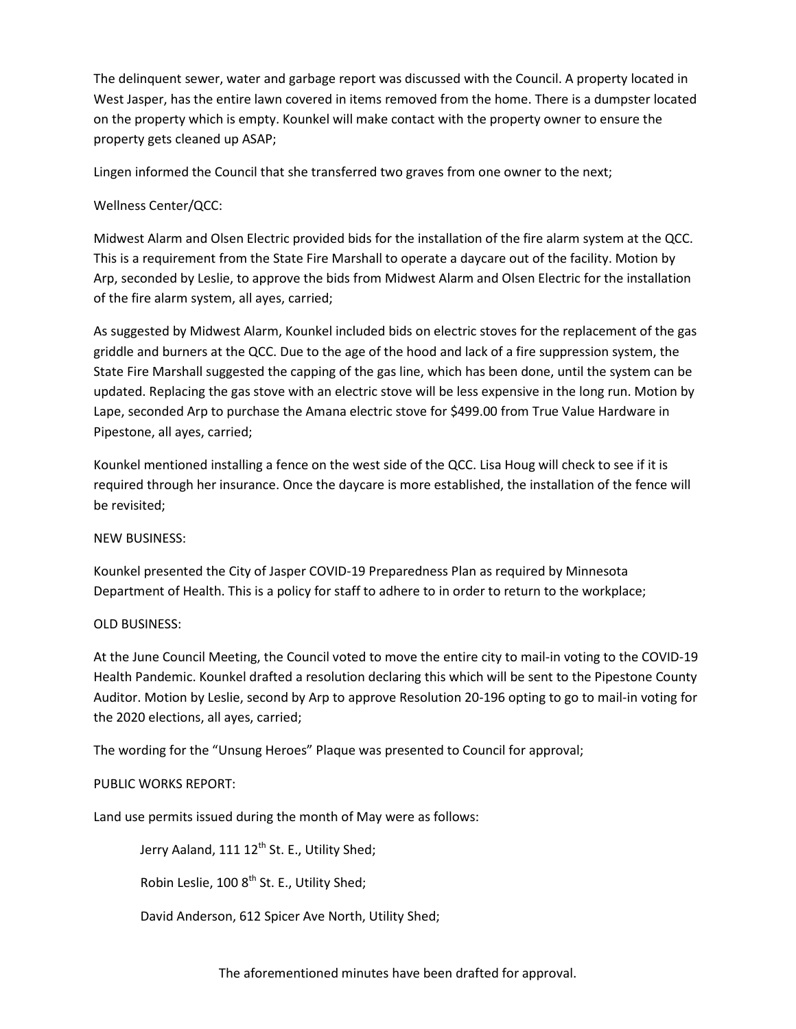The delinquent sewer, water and garbage report was discussed with the Council. A property located in West Jasper, has the entire lawn covered in items removed from the home. There is a dumpster located on the property which is empty. Kounkel will make contact with the property owner to ensure the property gets cleaned up ASAP;

Lingen informed the Council that she transferred two graves from one owner to the next;

# Wellness Center/QCC:

Midwest Alarm and Olsen Electric provided bids for the installation of the fire alarm system at the QCC. This is a requirement from the State Fire Marshall to operate a daycare out of the facility. Motion by Arp, seconded by Leslie, to approve the bids from Midwest Alarm and Olsen Electric for the installation of the fire alarm system, all ayes, carried;

As suggested by Midwest Alarm, Kounkel included bids on electric stoves for the replacement of the gas griddle and burners at the QCC. Due to the age of the hood and lack of a fire suppression system, the State Fire Marshall suggested the capping of the gas line, which has been done, until the system can be updated. Replacing the gas stove with an electric stove will be less expensive in the long run. Motion by Lape, seconded Arp to purchase the Amana electric stove for \$499.00 from True Value Hardware in Pipestone, all ayes, carried;

Kounkel mentioned installing a fence on the west side of the QCC. Lisa Houg will check to see if it is required through her insurance. Once the daycare is more established, the installation of the fence will be revisited;

## NEW BUSINESS:

Kounkel presented the City of Jasper COVID-19 Preparedness Plan as required by Minnesota Department of Health. This is a policy for staff to adhere to in order to return to the workplace;

## OLD BUSINESS:

At the June Council Meeting, the Council voted to move the entire city to mail-in voting to the COVID-19 Health Pandemic. Kounkel drafted a resolution declaring this which will be sent to the Pipestone County Auditor. Motion by Leslie, second by Arp to approve Resolution 20-196 opting to go to mail-in voting for the 2020 elections, all ayes, carried;

The wording for the "Unsung Heroes" Plaque was presented to Council for approval;

## PUBLIC WORKS REPORT:

Land use permits issued during the month of May were as follows:

Jerry Aaland, 111 12<sup>th</sup> St. E., Utility Shed;

Robin Leslie, 100 8<sup>th</sup> St. E., Utility Shed;

David Anderson, 612 Spicer Ave North, Utility Shed;